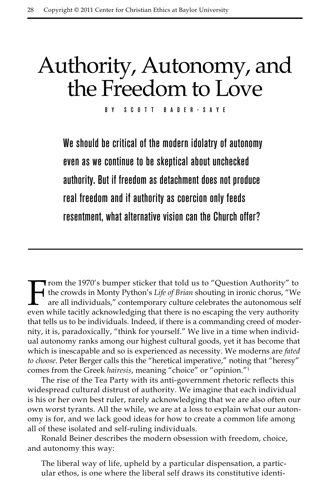# Authority, Autonomy, and the Freedom to Love

By Scott Bader-Saye

We should be critical of the modern idolatry of autonomy even as we continue to be skeptical about unchecked authority. But if freedom as detachment does not produce real freedom and if authority as coercion only feeds resentment, what alternative vision can the Church offer?

From the 1970's bumper sticker that told us to "Question Authority" to<br>the crowds in Monty Python's Life of Brian shouting in ironic chorus, "We<br>are all individuals," contemporary culture celebrates the autonomous self<br>eve the crowds in Monty Python's *Life of Brian* shouting in ironic chorus, "We are all individuals," contemporary culture celebrates the autonomous self even while tacitly acknowledging that there is no escaping the very authority that tells us to be individuals. Indeed, if there is a commanding creed of modernity, it is, paradoxically, "think for yourself." We live in a time when individual autonomy ranks among our highest cultural goods, yet it has become that which is inescapable and so is experienced as necessity. We moderns are *fated to choose*. Peter Berger calls this the "heretical imperative," noting that "heresy" comes from the Greek *hairesis*, meaning "choice" or "opinion."1

The rise of the Tea Party with its anti-government rhetoric reflects this widespread cultural distrust of authority. We imagine that each individual is his or her own best ruler, rarely acknowledging that we are also often our own worst tyrants. All the while, we are at a loss to explain what our autonomy is for, and we lack good ideas for how to create a common life among all of these isolated and self-ruling individuals.

Ronald Beiner describes the modern obsession with freedom, choice, and autonomy this way:

The liberal way of life, upheld by a particular dispensation, a particular ethos, is one where the liberal self draws its constitutive identi-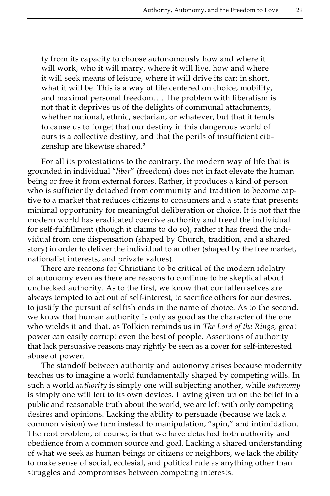ty from its capacity to choose autonomously how and where it will work, who it will marry, where it will live, how and where it will seek means of leisure, where it will drive its car; in short, what it will be. This is a way of life centered on choice, mobility, and maximal personal freedom…. The problem with liberalism is not that it deprives us of the delights of communal attachments, whether national, ethnic, sectarian, or whatever, but that it tends to cause us to forget that our destiny in this dangerous world of ours is a collective destiny, and that the perils of insufficient citizenship are likewise shared.<sup>2</sup>

For all its protestations to the contrary, the modern way of life that is grounded in individual "*liber*" (freedom) does not in fact elevate the human being or free it from external forces. Rather, it produces a kind of person who is sufficiently detached from community and tradition to become captive to a market that reduces citizens to consumers and a state that presents minimal opportunity for meaningful deliberation or choice. It is not that the modern world has eradicated coercive authority and freed the individual for self-fulfillment (though it claims to do so), rather it has freed the individual from one dispensation (shaped by Church, tradition, and a shared story) in order to deliver the individual to another (shaped by the free market, nationalist interests, and private values).

There are reasons for Christians to be critical of the modern idolatry of autonomy even as there are reasons to continue to be skeptical about unchecked authority. As to the first, we know that our fallen selves are always tempted to act out of self-interest, to sacrifice others for our desires, to justify the pursuit of selfish ends in the name of choice. As to the second, we know that human authority is only as good as the character of the one who wields it and that, as Tolkien reminds us in *The Lord of the Rings,* great power can easily corrupt even the best of people. Assertions of authority that lack persuasive reasons may rightly be seen as a cover for self-interested abuse of power.

The standoff between authority and autonomy arises because modernity teaches us to imagine a world fundamentally shaped by competing wills. In such a world *authority* is simply one will subjecting another, while *autonomy* is simply one will left to its own devices. Having given up on the belief in a public and reasonable truth about the world, we are left with only competing desires and opinions. Lacking the ability to persuade (because we lack a common vision) we turn instead to manipulation, "spin," and intimidation. The root problem, of course, is that we have detached both authority and obedience from a common source and goal. Lacking a shared understanding of what we seek as human beings or citizens or neighbors, we lack the ability to make sense of social, ecclesial, and political rule as anything other than struggles and compromises between competing interests.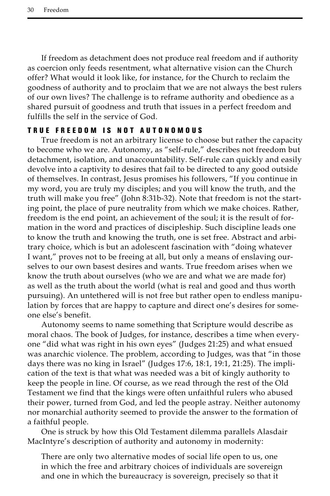If freedom as detachment does not produce real freedom and if authority as coercion only feeds resentment, what alternative vision can the Church offer? What would it look like, for instance, for the Church to reclaim the goodness of authority and to proclaim that we are not always the best rulers of our own lives? The challenge is to reframe authority and obedience as a shared pursuit of goodness and truth that issues in a perfect freedom and fulfills the self in the service of God.

## TRUE FREEDOM IS NOT AUTONOMOUS

True freedom is not an arbitrary license to choose but rather the capacity to become who we are. Autonomy, as "self-rule," describes not freedom but detachment, isolation, and unaccountability. Self-rule can quickly and easily devolve into a captivity to desires that fail to be directed to any good outside of themselves. In contrast, Jesus promises his followers, "If you continue in my word, you are truly my disciples; and you will know the truth, and the truth will make you free" (John 8:31b-32). Note that freedom is not the starting point, the place of pure neutrality from which we make choices. Rather, freedom is the end point, an achievement of the soul; it is the result of formation in the word and practices of discipleship. Such discipline leads one to know the truth and knowing the truth, one is set free. Abstract and arbitrary choice, which is but an adolescent fascination with "doing whatever I want," proves not to be freeing at all, but only a means of enslaving ourselves to our own basest desires and wants. True freedom arises when we know the truth about ourselves (who we are and what we are made for) as well as the truth about the world (what is real and good and thus worth pursuing). An untethered will is not free but rather open to endless manipulation by forces that are happy to capture and direct one's desires for someone else's benefit.

Autonomy seems to name something that Scripture would describe as moral chaos. The book of Judges, for instance, describes a time when everyone "did what was right in his own eyes" (Judges 21:25) and what ensued was anarchic violence. The problem, according to Judges, was that "in those days there was no king in Israel" (Judges 17:6, 18:1, 19:1, 21:25). The implication of the text is that what was needed was a bit of kingly authority to keep the people in line. Of course, as we read through the rest of the Old Testament we find that the kings were often unfaithful rulers who abused their power, turned from God, and led the people astray. Neither autonomy nor monarchial authority seemed to provide the answer to the formation of a faithful people.

One is struck by how this Old Testament dilemma parallels Alasdair MacIntyre's description of authority and autonomy in modernity:

There are only two alternative modes of social life open to us, one in which the free and arbitrary choices of individuals are sovereign and one in which the bureaucracy is sovereign, precisely so that it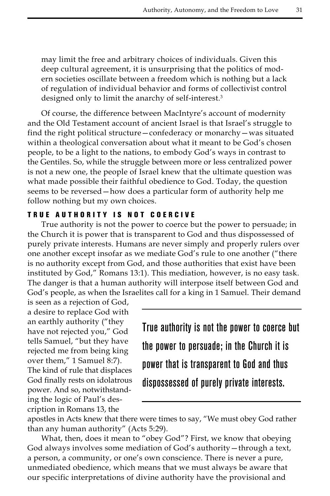may limit the free and arbitrary choices of individuals. Given this deep cultural agreement, it is unsurprising that the politics of modern societies oscillate between a freedom which is nothing but a lack of regulation of individual behavior and forms of collectivist control designed only to limit the anarchy of self-interest.<sup>3</sup>

Of course, the difference between MacIntyre's account of modernity and the Old Testament account of ancient Israel is that Israel's struggle to find the right political structure—confederacy or monarchy—was situated within a theological conversation about what it meant to be God's chosen people, to be a light to the nations, to embody God's ways in contrast to the Gentiles. So, while the struggle between more or less centralized power is not a new one, the people of Israel knew that the ultimate question was what made possible their faithful obedience to God. Today, the question seems to be reversed—how does a particular form of authority help me follow nothing but my own choices.

### TRUE AUTHORITY IS NOT COERCIVE

True authority is not the power to coerce but the power to persuade; in the Church it is power that is transparent to God and thus dispossessed of purely private interests. Humans are never simply and properly rulers over one another except insofar as we mediate God's rule to one another ("there is no authority except from God, and those authorities that exist have been instituted by God," Romans 13:1). This mediation, however, is no easy task. The danger is that a human authority will interpose itself between God and God's people, as when the Israelites call for a king in 1 Samuel. Their demand

is seen as a rejection of God, a desire to replace God with an earthly authority ("they have not rejected you," God tells Samuel, "but they have rejected me from being king over them," 1 Samuel 8:7). The kind of rule that displaces God finally rests on idolatrous power. And so, notwithstanding the logic of Paul's description in Romans 13, the

True authority is not the power to coerce but the power to persuade; in the Church it is power that is transparent to God and thus dispossessed of purely private interests.

apostles in Acts knew that there were times to say, "We must obey God rather than any human authority" (Acts 5:29).

What, then, does it mean to "obey God"? First, we know that obeying God always involves some mediation of God's authority—through a text, a person, a community, or one's own conscience. There is never a pure, unmediated obedience, which means that we must always be aware that our specific interpretations of divine authority have the provisional and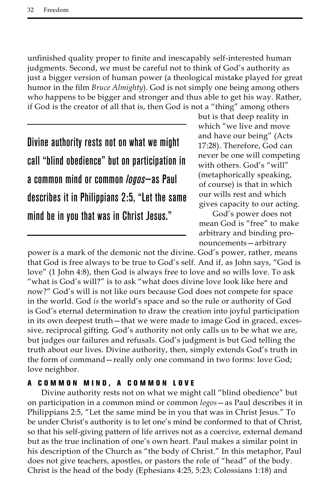unfinished quality proper to finite and inescapably self-interested human judgments. Second, we must be careful not to think of God's authority as just a bigger version of human power (a theological mistake played for great humor in the film *Bruce Almighty*). God is not simply one being among others who happens to be bigger and stronger and thus able to get his way. Rather, if God is the creator of all that is, then God is not a "thing" among others

Divine authority rests not on what we might call "blind obedience" but on participation in a common mind or common *logos*—as Paul describes it in Philippians 2:5, "Let the same mind be in you that was in Christ Jesus."

but is that deep reality in which "we live and move and have our being" (Acts 17:28). Therefore, God can never be one will competing with others. God's "will" (metaphorically speaking, of course) is that in which our wills rest and which gives capacity to our acting.

God's power does not mean God is "free" to make arbitrary and binding pronouncements—arbitrary

power is a mark of the demonic not the divine. God's power, rather, means that God is free always to be true to God's self. And if, as John says, "God is love" (1 John 4:8), then God is always free to love and so wills love. To ask "what is God's will?" is to ask "what does divine love look like here and now?" God's will is not like ours because God does not compete for space in the world. God *is* the world's space and so the rule or authority of God is God's eternal determination to draw the creation into joyful participation in its own deepest truth—that we were made to image God in graced, excessive, reciprocal gifting. God's authority not only calls us to be what we are, but judges our failures and refusals. God's judgment is but God telling the truth about our lives. Divine authority, then, simply extends God's truth in the form of command—really only one command in two forms: love God; love neighbor.

# A COMMON MIND, A COMMON LOVE

Divine authority rests not on what we might call "blind obedience" but on participation in a common mind or common *logos*—as Paul describes it in Philippians 2:5, "Let the same mind be in you that was in Christ Jesus." To be under Christ's authority is to let one's mind be conformed to that of Christ, so that his self-giving pattern of life arrives not as a coercive, external demand but as the true inclination of one's own heart. Paul makes a similar point in his description of the Church as "the body of Christ." In this metaphor, Paul does not give teachers, apostles, or pastors the role of "head" of the body. Christ is the head of the body (Ephesians 4:25, 5:23; Colossians 1:18) and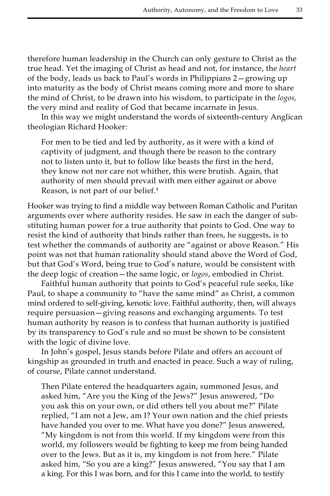therefore human leadership in the Church can only gesture to Christ as the true head. Yet the imaging of Christ as head and not, for instance, the *heart*  of the body, leads us back to Paul's words in Philippians 2—growing up into maturity as the body of Christ means coming more and more to share the mind of Christ, to be drawn into his wisdom, to participate in the *logos,*  the very mind and reality of God that became incarnate in Jesus.

In this way we might understand the words of sixteenth-century Anglican theologian Richard Hooker:

For men to be tied and led by authority, as it were with a kind of captivity of judgment, and though there be reason to the contrary not to listen unto it, but to follow like beasts the first in the herd, they know not nor care not whither, this were brutish. Again, that authority of men should prevail with men either against or above Reason, is not part of our belief.4

Hooker was trying to find a middle way between Roman Catholic and Puritan arguments over where authority resides. He saw in each the danger of substituting human power for a true authority that points to God. One way to resist the kind of authority that binds rather than frees, he suggests, is to test whether the commands of authority are "against or above Reason." His point was not that human rationality should stand above the Word of God, but that God's Word, being true to God's nature, would be consistent with the deep logic of creation—the same logic, or *logos*, embodied in Christ.

Faithful human authority that points to God's peaceful rule seeks, like Paul, to shape a community to "have the same mind" as Christ, a common mind ordered to self-giving, kenotic love. Faithful authority, then, will always require persuasion—giving reasons and exchanging arguments. To test human authority by reason is to confess that human authority is justified by its transparency to God's rule and so must be shown to be consistent with the logic of divine love.

In John's gospel, Jesus stands before Pilate and offers an account of kingship as grounded in truth and enacted in peace. Such a way of ruling, of course, Pilate cannot understand.

Then Pilate entered the headquarters again, summoned Jesus, and asked him, "Are you the King of the Jews?" Jesus answered, "Do you ask this on your own, or did others tell you about me?" Pilate replied, "I am not a Jew, am I? Your own nation and the chief priests have handed you over to me. What have you done?" Jesus answered, "My kingdom is not from this world. If my kingdom were from this world, my followers would be fighting to keep me from being handed over to the Jews. But as it is, my kingdom is not from here." Pilate asked him, "So you are a king?" Jesus answered, "You say that I am a king. For this I was born, and for this I came into the world, to testify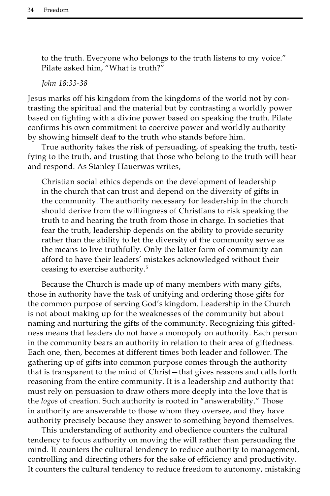to the truth. Everyone who belongs to the truth listens to my voice." Pilate asked him, "What is truth?"

*John 18:33-38*

Jesus marks off his kingdom from the kingdoms of the world not by contrasting the spiritual and the material but by contrasting a worldly power based on fighting with a divine power based on speaking the truth. Pilate confirms his own commitment to coercive power and worldly authority by showing himself deaf to the truth who stands before him.

True authority takes the risk of persuading, of speaking the truth, testifying to the truth, and trusting that those who belong to the truth will hear and respond. As Stanley Hauerwas writes,

Christian social ethics depends on the development of leadership in the church that can trust and depend on the diversity of gifts in the community. The authority necessary for leadership in the church should derive from the willingness of Christians to risk speaking the truth to and hearing the truth from those in charge. In societies that fear the truth, leadership depends on the ability to provide security rather than the ability to let the diversity of the community serve as the means to live truthfully. Only the latter form of community can afford to have their leaders' mistakes acknowledged without their ceasing to exercise authority.5

Because the Church is made up of many members with many gifts, those in authority have the task of unifying and ordering those gifts for the common purpose of serving God's kingdom. Leadership in the Church is not about making up for the weaknesses of the community but about naming and nurturing the gifts of the community. Recognizing this giftedness means that leaders do not have a monopoly on authority. Each person in the community bears an authority in relation to their area of giftedness. Each one, then, becomes at different times both leader and follower. The gathering up of gifts into common purpose comes through the authority that is transparent to the mind of Christ—that gives reasons and calls forth reasoning from the entire community. It is a leadership and authority that must rely on persuasion to draw others more deeply into the love that is the *logos* of creation. Such authority is rooted in "answerability." Those in authority are answerable to those whom they oversee, and they have authority precisely because they answer to something beyond themselves.

This understanding of authority and obedience counters the cultural tendency to focus authority on moving the will rather than persuading the mind. It counters the cultural tendency to reduce authority to management, controlling and directing others for the sake of efficiency and productivity. It counters the cultural tendency to reduce freedom to autonomy, mistaking